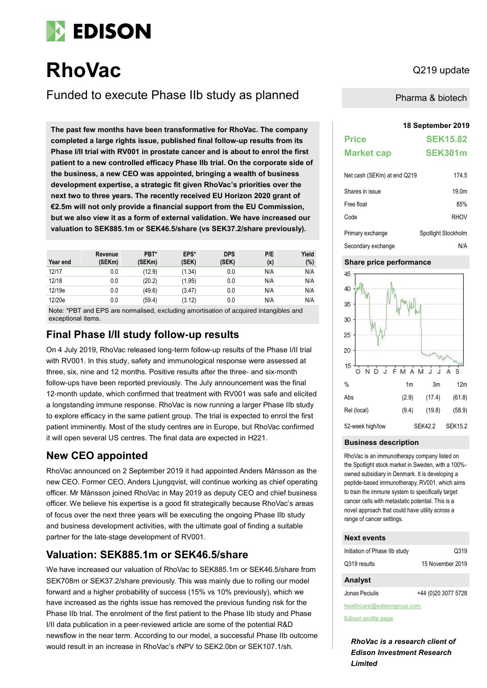

# **RhoVac** Q219 update

Funded to execute Phase IIb study as planned

**18 September 2019 The past few months have been transformative for RhoVac. The company completed a large rights issue, published final follow-up results from its Phase I/II trial with RV001 in prostate cancer and is about to enrol the first patient to a new controlled efficacy Phase IIb trial. On the corporate side of the business, a new CEO was appointed, bringing a wealth of business development expertise, a strategic fit given RhoVac's priorities over the next two to three years. The recently received EU Horizon 2020 grant of €2.5m will not only provide a financial support from the EU Commission, but we also view it as a form of external validation. We have increased our valuation to SEK885.1m or SEK46.5/share (vs SEK37.2/share previously).**

| Year end | Revenue<br>(SEKm) | PBT*<br>(SEKm) | EPS*<br>(SEK) | <b>DPS</b><br>(SEK) | P/E<br>(x) | Yield<br>(%) |
|----------|-------------------|----------------|---------------|---------------------|------------|--------------|
| 12/17    | 0.0               | (12.9)         | (1.34)        | 0.0                 | N/A        | N/A          |
| 12/18    | 0.0               | (20.2)         | (1.95)        | 0.0                 | N/A        | N/A          |
| 12/19e   | 0.0               | (49.6)         | (3.47)        | 0.0                 | N/A        | N/A          |
| 12/20e   | 0.0               | (59.4)         | (3.12)        | 0.0                 | N/A        | N/A          |

Note: \*PBT and EPS are normalised, excluding amortisation of acquired intangibles and exceptional items.

### **Final Phase I/II study follow-up results**

On 4 July 2019, RhoVac released long-term follow-up results of the Phase I/II trial with RV001. In this study, safety and immunological response were assessed at three, six, nine and 12 months. Positive results after the three- and six-month follow-ups have been reported previously. The July announcement was the final 12-month update, which confirmed that treatment with RV001 was safe and elicited a longstanding immune response. RhoVac is now running a larger Phase IIb study to explore efficacy in the same patient group. The trial is expected to enrol the first patient imminently. Most of the study centres are in Europe, but RhoVac confirmed it will open several US centres. The final data are expected in H221.

### **New CEO appointed**

RhoVac announced on 2 September 2019 it had appointed Anders Månsson as the new CEO. Former CEO, Anders Ljungqvist, will continue working as chief operating officer. Mr Månsson joined RhoVac in May 2019 as deputy CEO and chief business officer. We believe his expertise is a good fit strategically because RhoVac's areas of focus over the next three years will be executing the ongoing Phase IIb study and business development activities, with the ultimate goal of finding a suitable partner for the late-stage development of RV001.

### **Valuation: SEK885.1m or SEK46.5/share**

We have increased our valuation of RhoVac to SEK885.1m or SEK46.5/share from SEK708m or SEK37.2/share previously. This was mainly due to rolling our model forward and a higher probability of success (15% vs 10% previously), which we have increased as the rights issue has removed the previous funding risk for the Phase IIb trial. The enrolment of the first patient to the Phase IIb study and Phase I/II data publication in a peer-reviewed article are some of the potential R&D newsflow in the near term. According to our model, a successful Phase IIb outcome would result in an increase in RhoVac's rNPV to SEK2.0bn or SEK107.1/sh.

Pharma & biotech

## **Price SEK15.82 Market cap SEK301m**  $N$ et cash (SEKm) at end  $O$ 219 174.5

| $1901 \text{ days}$ , $001 \text{ GHz}$ at 0.10 $\text{W2}$ 19 | $11 - 1$            |
|----------------------------------------------------------------|---------------------|
| Shares in issue                                                | 19.0m               |
| Free float                                                     | 85%                 |
| Code                                                           | <b>RHOV</b>         |
| Primary exchange                                               | Spotlight Stockholm |
| Secondary exchange                                             | N/A                 |

#### **Share price performance**



#### **Business description**

RhoVac is an immunotherapy company listed on the Spotlight stock market in Sweden, with a 100% owned subsidiary in Denmark. It is developing a peptide-based immunotherapy, RV001, which aims to train the immune system to specifically target cancer cells with metastatic potential. This is a novel approach that could have utility across a range of cancer settings.

#### **Next events**

| Initiation of Phase IIb study | Q319             |
|-------------------------------|------------------|
| Q319 results                  | 15 November 2019 |

#### **Analyst**

Jonas Peciulis +44 (0)20 3077 5728

healthcare@edisongroup.com

[Edison profile page](https://www.edisongroup.com/company/rhovac/)

*RhoVac is a research client of Edison Investment Research Limited*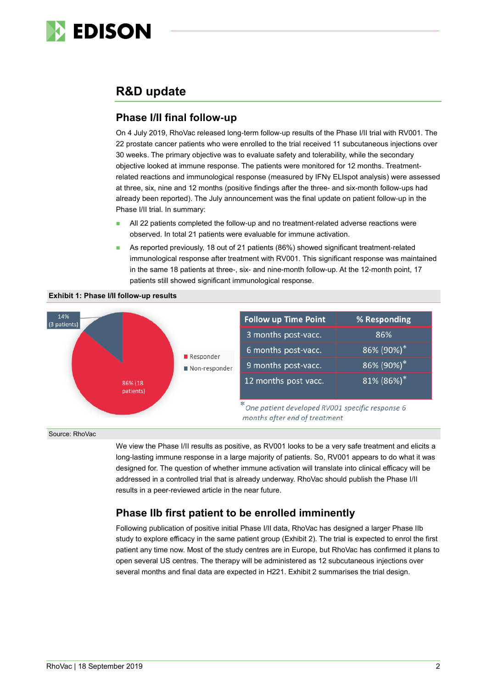

### **R&D update**

### **Phase I/II final follow-up**

On 4 July 2019, RhoVac released long-term follow-up results of the Phase I/II trial with RV001. The 22 prostate cancer patients who were enrolled to the trial received 11 subcutaneous injections over 30 weeks. The primary objective was to evaluate safety and tolerability, while the secondary objective looked at immune response. The patients were monitored for 12 months. Treatmentrelated reactions and immunological response (measured by IFNγ ELIspot analysis) were assessed at three, six, nine and 12 months (positive findings after the three- and six-month follow-ups had already been reported). The July announcement was the final update on patient follow-up in the Phase I/II trial. In summary:

- All 22 patients completed the follow-up and no treatment-related adverse reactions were observed. In total 21 patients were evaluable for immune activation.
- As reported previously, 18 out of 21 patients (86%) showed significant treatment-related immunological response after treatment with RV001. This significant response was maintained in the same 18 patients at three-, six- and nine-month follow-up. At the 12-month point, 17 patients still showed significant immunological response.



**Exhibit 1: Phase I/II follow-up results**

Source: RhoVac

We view the Phase I/II results as positive, as RV001 looks to be a very safe treatment and elicits a long-lasting immune response in a large majority of patients. So, RV001 appears to do what it was designed for. The question of whether immune activation will translate into clinical efficacy will be addressed in a controlled trial that is already underway. RhoVac should publish the Phase I/II results in a peer-reviewed article in the near future.

### **Phase IIb first patient to be enrolled imminently**

Following publication of positive initial Phase I/II data, RhoVac has designed a larger Phase IIb study to explore efficacy in the same patient group (Exhibit 2). The trial is expected to enrol the first patient any time now. Most of the study centres are in Europe, but RhoVac has confirmed it plans to open several US centres. The therapy will be administered as 12 subcutaneous injections over several months and final data are expected in H221. Exhibit 2 summarises the trial design.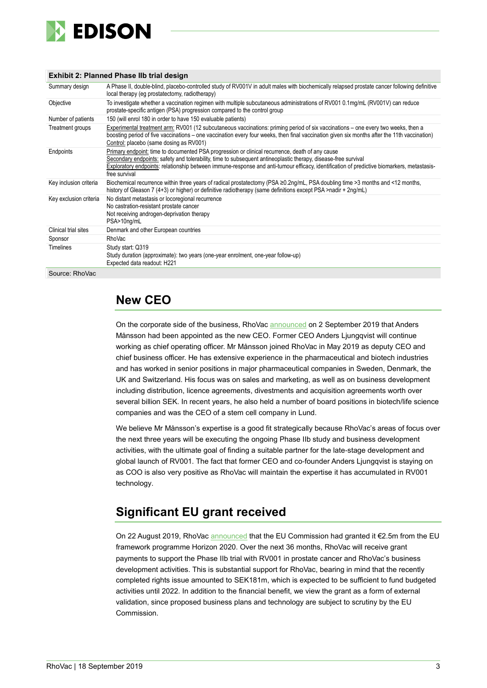

#### **Exhibit 2: Planned Phase IIb trial design**

| Summary design         | A Phase II, double-blind, placebo-controlled study of RV001V in adult males with biochemically relapsed prostate cancer following definitive<br>local therapy (eg prostatectomy, radiotherapy)                                                                                                                                                                                   |
|------------------------|----------------------------------------------------------------------------------------------------------------------------------------------------------------------------------------------------------------------------------------------------------------------------------------------------------------------------------------------------------------------------------|
| Objective              | To investigate whether a vaccination regimen with multiple subcutaneous administrations of RV001 0.1mg/mL (RV001V) can reduce<br>prostate-specific antigen (PSA) progression compared to the control group                                                                                                                                                                       |
| Number of patients     | 150 (will enrol 180 in order to have 150 evaluable patients)                                                                                                                                                                                                                                                                                                                     |
| Treatment groups       | Experimental treatment arm: RV001 (12 subcutaneous vaccinations: priming period of six vaccinations – one every two weeks, then a<br>boosting period of five vaccinations – one vaccination every four weeks, then final vaccination given six months after the 11th vaccination)<br>Control: placebo (same dosing as RV001)                                                     |
| Endpoints              | Primary endpoint: time to documented PSA progression or clinical recurrence, death of any cause<br>Secondary endpoints: safety and tolerability, time to subsequent antineoplastic therapy, disease-free survival<br>Exploratory endpoints: relationship between immune-response and anti-tumour efficacy, identification of predictive biomarkers, metastasis-<br>free survival |
| Key inclusion criteria | Biochemical recurrence within three years of radical prostatectomy (PSA ≥0.2ng/mL, PSA doubling time >3 months and <12 months,<br>history of Gleason 7 (4+3) or higher) or definitive radiotherapy (same definitions except PSA >nadir + 2ng/mL)                                                                                                                                 |
| Key exclusion criteria | No distant metastasis or locoregional recurrence<br>No castration-resistant prostate cancer<br>Not receiving androgen-deprivation therapy<br>PSA>10ng/mL                                                                                                                                                                                                                         |
| Clinical trial sites   | Denmark and other European countries                                                                                                                                                                                                                                                                                                                                             |
| Sponsor                | <b>RhoVac</b>                                                                                                                                                                                                                                                                                                                                                                    |
| <b>Timelines</b>       | Study start: Q319<br>Study duration (approximate): two years (one-year enrolment, one-year follow-up)<br>Expected data readout: H221                                                                                                                                                                                                                                             |

Source: RhoVac

### **New CEO**

On the corporate side of the business, RhoVac [announced](https://www.rhovac.com/cision/E8306558DDBE081B/) on 2 September 2019 that Anders Månsson had been appointed as the new CEO. Former CEO Anders Ljungqvist will continue working as chief operating officer. Mr Månsson joined RhoVac in May 2019 as deputy CEO and chief business officer. He has extensive experience in the pharmaceutical and biotech industries and has worked in senior positions in major pharmaceutical companies in Sweden, Denmark, the UK and Switzerland. His focus was on sales and marketing, as well as on business development including distribution, licence agreements, divestments and acquisition agreements worth over several billion SEK. In recent years, he also held a number of board positions in biotech/life science companies and was the CEO of a stem cell company in Lund.

We believe Mr Månsson's expertise is a good fit strategically because RhoVac's areas of focus over the next three years will be executing the ongoing Phase IIb study and business development activities, with the ultimate goal of finding a suitable partner for the late-stage development and global launch of RV001. The fact that former CEO and co-founder Anders Ljungqvist is staying on as COO is also very positive as RhoVac will maintain the expertise it has accumulated in RV001 technology.

### **Significant EU grant received**

On 22 August 2019, RhoVa[c announced](https://www.rhovac.com/cision/0EC933DEA1A60AF0/) that the EU Commission had granted it €2.5m from the EU framework programme Horizon 2020. Over the next 36 months, RhoVac will receive grant payments to support the Phase IIb trial with RV001 in prostate cancer and RhoVac's business development activities. This is substantial support for RhoVac, bearing in mind that the recently completed rights issue amounted to SEK181m, which is expected to be sufficient to fund budgeted activities until 2022. In addition to the financial benefit, we view the grant as a form of external validation, since proposed business plans and technology are subject to scrutiny by the EU Commission.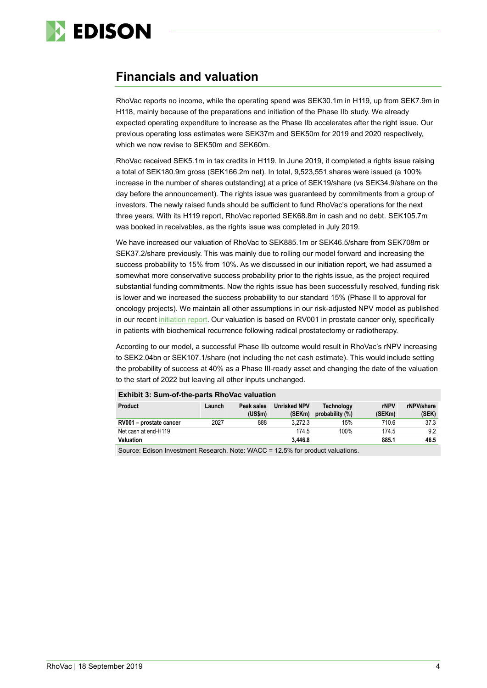

### **Financials and valuation**

RhoVac reports no income, while the operating spend was SEK30.1m in H119, up from SEK7.9m in H118, mainly because of the preparations and initiation of the Phase IIb study. We already expected operating expenditure to increase as the Phase IIb accelerates after the right issue. Our previous operating loss estimates were SEK37m and SEK50m for 2019 and 2020 respectively, which we now revise to SEK50m and SEK60m.

RhoVac received SEK5.1m in tax credits in H119. In June 2019, it completed a rights issue raising a total of SEK180.9m gross (SEK166.2m net). In total, 9,523,551 shares were issued (a 100% increase in the number of shares outstanding) at a price of SEK19/share (vs SEK34.9/share on the day before the announcement). The rights issue was guaranteed by commitments from a group of investors. The newly raised funds should be sufficient to fund RhoVac's operations for the next three years. With its H119 report, RhoVac reported SEK68.8m in cash and no debt. SEK105.7m was booked in receivables, as the rights issue was completed in July 2019.

We have increased our valuation of RhoVac to SEK885.1m or SEK46.5/share from SEK708m or SEK37.2/share previously. This was mainly due to rolling our model forward and increasing the success probability to 15% from 10%. As we discussed in our initiation report, we had assumed a somewhat more conservative success probability prior to the rights issue, as the project required substantial funding commitments. Now the rights issue has been successfully resolved, funding risk is lower and we increased the success probability to our standard 15% (Phase II to approval for oncology projects). We maintain all other assumptions in our risk-adjusted NPV model as published in our recent [initiation report.](https://www.edisongroup.com/publication/stopping-metastasis-in-its-tracks/24256/) Our valuation is based on RV001 in prostate cancer only, specifically in patients with biochemical recurrence following radical prostatectomy or radiotherapy.

According to our model, a successful Phase IIb outcome would result in RhoVac's rNPV increasing to SEK2.04bn or SEK107.1/share (not including the net cash estimate). This would include setting the probability of success at 40% as a Phase III-ready asset and changing the date of the valuation to the start of 2022 but leaving all other inputs unchanged.

| <b>Product</b>          | Launch | Peak sales<br>(USSm) | <b>Unrisked NPV</b><br>(SEKm) | <b>Technology</b><br>probability (%) | rNPV<br>(SEKm) | rNPV/share<br>(SEK) |
|-------------------------|--------|----------------------|-------------------------------|--------------------------------------|----------------|---------------------|
| RV001 - prostate cancer | 2027   | 888                  | 3.272.3                       | 15%                                  | 710.6          | 37.3                |
| Net cash at end-H119    |        |                      | 174.5                         | 100%                                 | 174.5          | 9.2                 |
| <b>Valuation</b>        |        |                      | 3.446.8                       |                                      | 885.1          | 46.5                |

**Exhibit 3: Sum-of-the-parts RhoVac valuation**

Source: Edison Investment Research. Note: WACC = 12.5% for product valuations.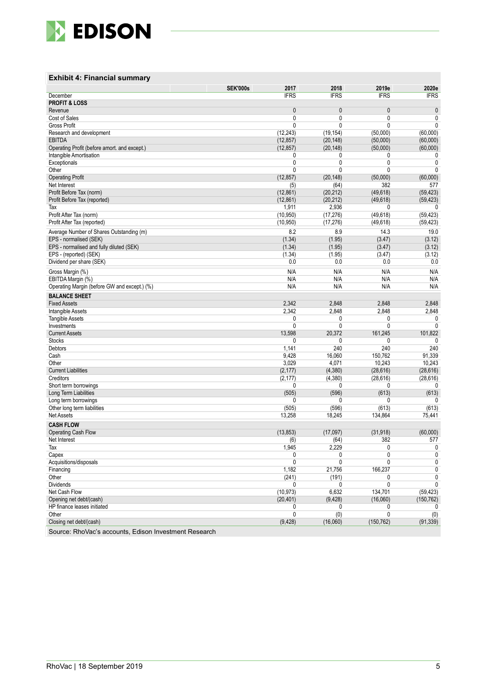

#### **Exhibit 4: Financial summary**

|                                                       | <b>SEK'000s</b><br>2017 | 2018         | 2019e        | 2020e        |
|-------------------------------------------------------|-------------------------|--------------|--------------|--------------|
| December                                              | <b>IFRS</b>             | <b>IFRS</b>  | <b>IFRS</b>  | <b>IFRS</b>  |
| <b>PROFIT &amp; LOSS</b>                              |                         |              |              |              |
| Revenue                                               | 0                       | 0            | 0            | $\pmb{0}$    |
| Cost of Sales                                         | 0                       | 0            | 0            | 0            |
| <b>Gross Profit</b>                                   | 0                       | 0            | 0            | 0            |
| Research and development                              | (12, 243)               | (19, 154)    | (50,000)     | (60,000)     |
| <b>EBITDA</b>                                         | (12, 857)               | (20, 148)    | (50,000)     | (60,000)     |
| Operating Profit (before amort. and except.)          | (12, 857)               | (20, 148)    | (50,000)     | (60,000)     |
| Intangible Amortisation                               | 0                       | 0            | 0            | 0            |
| Exceptionals                                          | 0                       | $\mathbf{0}$ | 0            | 0            |
| Other                                                 | 0                       | 0            | $\mathbf{0}$ | $\mathbf{0}$ |
| <b>Operating Profit</b>                               | (12, 857)               | (20, 148)    | (50,000)     | (60,000)     |
| Net Interest                                          | (5)                     | (64)         | 382          | 577          |
| Profit Before Tax (norm)                              | (12,861)                | (20, 212)    | (49, 618)    | (59, 423)    |
| Profit Before Tax (reported)                          | (12, 861)               | (20, 212)    | (49, 618)    | (59, 423)    |
| Tax                                                   | 1,911                   | 2,936        | 0            | 0            |
| Profit After Tax (norm)                               | (10, 950)               | (17, 276)    | (49, 618)    | (59, 423)    |
| Profit After Tax (reported)                           | (10, 950)               | (17, 276)    | (49, 618)    | (59, 423)    |
| Average Number of Shares Outstanding (m)              | 8.2                     | 8.9          | 14.3         | 19.0         |
| EPS - normalised (SEK)                                | (1.34)                  | (1.95)       | (3.47)       | (3.12)       |
| EPS - normalised and fully diluted (SEK)              | (1.34)                  | (1.95)       | (3.47)       | (3.12)       |
| EPS - (reported) (SEK)                                | (1.34)                  | (1.95)       | (3.47)       | (3.12)       |
| Dividend per share (SEK)                              | 0.0                     | 0.0          | 0.0          | 0.0          |
| Gross Margin (%)                                      | N/A                     | N/A          | N/A          | N/A          |
| EBITDA Margin (%)                                     | N/A                     | N/A          | N/A          | N/A          |
|                                                       | N/A                     | N/A          | N/A          | N/A          |
| Operating Margin (before GW and except.) (%)          |                         |              |              |              |
| <b>BALANCE SHEET</b>                                  |                         |              |              |              |
| <b>Fixed Assets</b>                                   | 2,342                   | 2,848        | 2,848        | 2,848        |
| Intangible Assets                                     | 2,342                   | 2,848        | 2,848        | 2,848        |
| <b>Tangible Assets</b>                                | 0                       | 0            | 0            | 0            |
| Investments                                           | 0                       | 0            | 0            | 0            |
| <b>Current Assets</b>                                 | 13,598                  | 20,372       | 161,245      | 101,822      |
| <b>Stocks</b>                                         | 0                       | 0            | 0            | $\mathbf{0}$ |
| Debtors                                               | 1,141                   | 240          | 240          | 240          |
| Cash                                                  | 9,428                   | 16,060       | 150,762      | 91,339       |
| Other                                                 | 3,029                   | 4,071        | 10,243       | 10,243       |
| <b>Current Liabilities</b>                            | (2, 177)                | (4, 380)     | (28, 616)    | (28, 616)    |
| Creditors                                             | (2, 177)                | (4, 380)     | (28, 616)    | (28, 616)    |
| Short term borrowings                                 | 0                       | 0            | 0            | 0            |
| Long Term Liabilities                                 | (505)                   | (596)        | (613)        | (613)        |
| Long term borrowings                                  | 0                       | 0            | 0            | $\mathbf{0}$ |
| Other long term liabilities                           | (505)                   | (596)        | (613)        | (613)        |
| <b>Net Assets</b>                                     | 13,258                  | 18,245       | 134,864      | 75,441       |
| <b>CASH FLOW</b>                                      |                         |              |              |              |
| Operating Cash Flow                                   | (13, 853)               | (17,097)     | (31, 918)    | (60,000)     |
| Net Interest                                          | (6)                     | (64)         | 382          | 577          |
| Tax                                                   | 1.945                   | 2.229        | $\Omega$     | 0            |
| Capex                                                 | 0                       | 0            | 0            | 0            |
| Acquisitions/disposals                                | 0                       | 0            | $\mathbf{0}$ | 0            |
| Financing                                             | 1,182                   | 21,756       | 166,237      | 0            |
| Other                                                 | (241)                   | (191)        | 0            | 0            |
| <b>Dividends</b>                                      | 0                       | 0            | 0            | 0            |
| Net Cash Flow                                         | (10, 973)               | 6,632        | 134,701      | (59, 423)    |
| Opening net debt/(cash)                               | (20, 401)               | (9, 428)     | (16,060)     | (150, 762)   |
| HP finance leases initiated                           | 0                       | 0            | 0            | 0            |
| Other                                                 | 0                       | (0)          | 0            | (0)          |
| Closing net debt/(cash)                               | (9, 428)                | (16,060)     | (150, 762)   | (91, 339)    |
| Source: RhoVac's accounts, Edison Investment Research |                         |              |              |              |
|                                                       |                         |              |              |              |